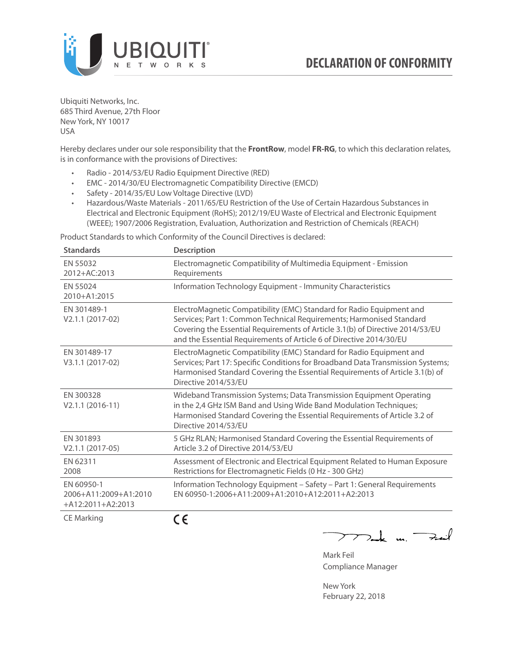

Ubiquiti Networks, Inc. 685 Third Avenue, 27th Floor New York, NY 10017 USA

Hereby declares under our sole responsibility that the **FrontRow**, model **FR-RG**, to which this declaration relates, is in conformance with the provisions of Directives:

- Radio 2014/53/EU Radio Equipment Directive (RED)
- EMC 2014/30/EU Electromagnetic Compatibility Directive (EMCD)
- Safety 2014/35/EU Low Voltage Directive (LVD)
- Hazardous/Waste Materials 2011/65/EU Restriction of the Use of Certain Hazardous Substances in Electrical and Electronic Equipment (RoHS); 2012/19/EU Waste of Electrical and Electronic Equipment (WEEE); 1907/2006 Registration, Evaluation, Authorization and Restriction of Chemicals (REACH)

Product Standards to which Conformity of the Council Directives is declared:

| <b>Standards</b>                                           | <b>Description</b>                                                                                                                                                                                                                                                                                   |
|------------------------------------------------------------|------------------------------------------------------------------------------------------------------------------------------------------------------------------------------------------------------------------------------------------------------------------------------------------------------|
| EN 55032<br>2012+AC:2013                                   | Electromagnetic Compatibility of Multimedia Equipment - Emission<br>Requirements                                                                                                                                                                                                                     |
| EN 55024<br>2010+A1:2015                                   | Information Technology Equipment - Immunity Characteristics                                                                                                                                                                                                                                          |
| EN 301489-1<br>V2.1.1 (2017-02)                            | ElectroMagnetic Compatibility (EMC) Standard for Radio Equipment and<br>Services; Part 1: Common Technical Requirements; Harmonised Standard<br>Covering the Essential Requirements of Article 3.1(b) of Directive 2014/53/EU<br>and the Essential Requirements of Article 6 of Directive 2014/30/EU |
| EN 301489-17<br>V3.1.1 (2017-02)                           | ElectroMagnetic Compatibility (EMC) Standard for Radio Equipment and<br>Services; Part 17: Specific Conditions for Broadband Data Transmission Systems;<br>Harmonised Standard Covering the Essential Requirements of Article 3.1(b) of<br>Directive 2014/53/EU                                      |
| EN 300328<br>$V2.1.1 (2016-11)$                            | Wideband Transmission Systems; Data Transmission Equipment Operating<br>in the 2,4 GHz ISM Band and Using Wide Band Modulation Techniques;<br>Harmonised Standard Covering the Essential Requirements of Article 3.2 of<br>Directive 2014/53/EU                                                      |
| EN 301893<br>$V2.1.1 (2017-05)$                            | 5 GHz RLAN; Harmonised Standard Covering the Essential Requirements of<br>Article 3.2 of Directive 2014/53/EU                                                                                                                                                                                        |
| EN 62311<br>2008                                           | Assessment of Electronic and Electrical Equipment Related to Human Exposure<br>Restrictions for Electromagnetic Fields (0 Hz - 300 GHz)                                                                                                                                                              |
| EN 60950-1<br>2006+A11:2009+A1:2010<br>$+A12:2011+A2:2013$ | Information Technology Equipment - Safety - Part 1: General Requirements<br>EN 60950-1:2006+A11:2009+A1:2010+A12:2011+A2:2013                                                                                                                                                                        |
| $C = M \cdot 1$                                            | - -                                                                                                                                                                                                                                                                                                  |

CE Marking

CE

 $\nabla$ ak m.  $\rightarrow$  $\overline{\phantom{1}}$ 

Mark Feil Compliance Manager

New York February 22, 2018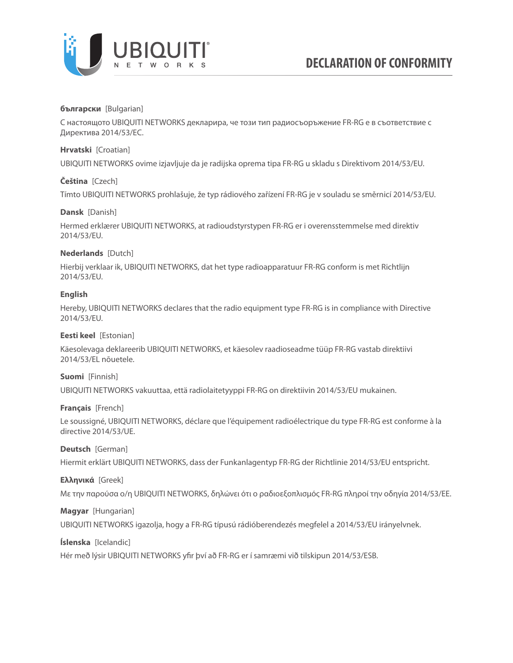

## **български** [Bulgarian]

С настоящото UBIQUITI NETWORKS декларира, че този тип радиосъоръжение FR-RG е в съответствие с Директива 2014/53/ЕС.

## **Hrvatski** [Croatian]

UBIQUITI NETWORKS ovime izjavljuje da je radijska oprema tipa FR-RG u skladu s Direktivom 2014/53/EU.

## **Čeština** [Czech]

Tímto UBIQUITI NETWORKS prohlašuje, že typ rádiového zařízení FR-RG je v souladu se směrnicí 2014/53/EU.

## **Dansk** [Danish]

Hermed erklærer UBIQUITI NETWORKS, at radioudstyrstypen FR-RG er i overensstemmelse med direktiv 2014/53/EU.

## **Nederlands** [Dutch]

Hierbij verklaar ik, UBIQUITI NETWORKS, dat het type radioapparatuur FR-RG conform is met Richtlijn 2014/53/EU.

## **English**

Hereby, UBIQUITI NETWORKS declares that the radio equipment type FR-RG is in compliance with Directive 2014/53/EU.

## **Eesti keel** [Estonian]

Käesolevaga deklareerib UBIQUITI NETWORKS, et käesolev raadioseadme tüüp FR-RG vastab direktiivi 2014/53/EL nõuetele.

## **Suomi** [Finnish]

UBIQUITI NETWORKS vakuuttaa, että radiolaitetyyppi FR-RG on direktiivin 2014/53/EU mukainen.

## **Français** [French]

Le soussigné, UBIQUITI NETWORKS, déclare que l'équipement radioélectrique du type FR-RG est conforme à la directive 2014/53/UE.

## **Deutsch** [German]

Hiermit erklärt UBIQUITI NETWORKS, dass der Funkanlagentyp FR-RG der Richtlinie 2014/53/EU entspricht.

## **Ελληνικά** [Greek]

Με την παρούσα ο/η UBIQUITI NETWORKS, δηλώνει ότι ο ραδιοεξοπλισμός FR-RG πληροί την οδηγία 2014/53/ΕΕ.

# **Magyar** [Hungarian]

UBIQUITI NETWORKS igazolja, hogy a FR-RG típusú rádióberendezés megfelel a 2014/53/EU irányelvnek.

## **Íslenska** [Icelandic]

Hér með lýsir UBIQUITI NETWORKS yfir því að FR-RG er í samræmi við tilskipun 2014/53/ESB.